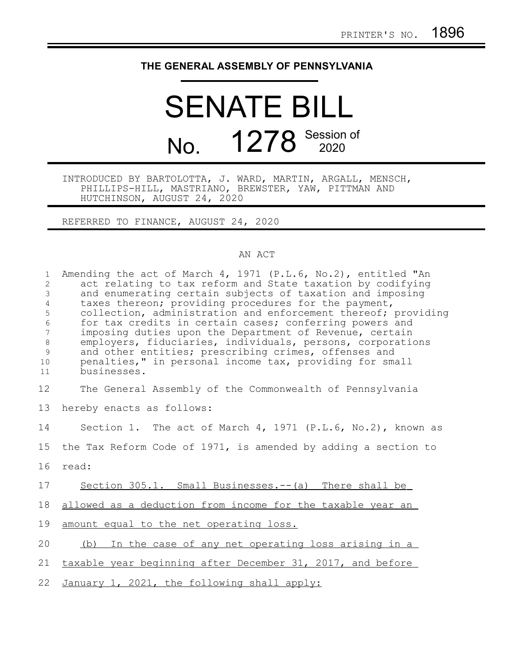## **THE GENERAL ASSEMBLY OF PENNSYLVANIA**

## SENATE BILL No. 1278 Session of

INTRODUCED BY BARTOLOTTA, J. WARD, MARTIN, ARGALL, MENSCH, PHILLIPS-HILL, MASTRIANO, BREWSTER, YAW, PITTMAN AND HUTCHINSON, AUGUST 24, 2020

REFERRED TO FINANCE, AUGUST 24, 2020

## AN ACT

| $\mathbf{1}$<br>$\overline{c}$<br>$\mathfrak{Z}$<br>$\overline{4}$<br>5<br>$\epsilon$<br>$\overline{7}$<br>$\,8\,$<br>$\overline{9}$<br>10<br>11 | Amending the act of March 4, 1971 (P.L.6, No.2), entitled "An<br>act relating to tax reform and State taxation by codifying<br>and enumerating certain subjects of taxation and imposing<br>taxes thereon; providing procedures for the payment,<br>collection, administration and enforcement thereof; providing<br>for tax credits in certain cases; conferring powers and<br>imposing duties upon the Department of Revenue, certain<br>employers, fiduciaries, individuals, persons, corporations<br>and other entities; prescribing crimes, offenses and<br>penalties," in personal income tax, providing for small<br>businesses. |
|--------------------------------------------------------------------------------------------------------------------------------------------------|-----------------------------------------------------------------------------------------------------------------------------------------------------------------------------------------------------------------------------------------------------------------------------------------------------------------------------------------------------------------------------------------------------------------------------------------------------------------------------------------------------------------------------------------------------------------------------------------------------------------------------------------|
| 12                                                                                                                                               | The General Assembly of the Commonwealth of Pennsylvania                                                                                                                                                                                                                                                                                                                                                                                                                                                                                                                                                                                |
| 13                                                                                                                                               | hereby enacts as follows:                                                                                                                                                                                                                                                                                                                                                                                                                                                                                                                                                                                                               |
| 14                                                                                                                                               | Section 1. The act of March 4, 1971 (P.L.6, No.2), known as                                                                                                                                                                                                                                                                                                                                                                                                                                                                                                                                                                             |
| 15                                                                                                                                               | the Tax Reform Code of 1971, is amended by adding a section to                                                                                                                                                                                                                                                                                                                                                                                                                                                                                                                                                                          |
| 16                                                                                                                                               | read:                                                                                                                                                                                                                                                                                                                                                                                                                                                                                                                                                                                                                                   |
| 17                                                                                                                                               | Section 305.1. Small Businesses.-- (a) There shall be                                                                                                                                                                                                                                                                                                                                                                                                                                                                                                                                                                                   |
| 18                                                                                                                                               | allowed as a deduction from income for the taxable year an                                                                                                                                                                                                                                                                                                                                                                                                                                                                                                                                                                              |
| 19                                                                                                                                               | amount equal to the net operating loss.                                                                                                                                                                                                                                                                                                                                                                                                                                                                                                                                                                                                 |
| 20                                                                                                                                               | (b) In the case of any net operating loss arising in a                                                                                                                                                                                                                                                                                                                                                                                                                                                                                                                                                                                  |
| 21                                                                                                                                               | taxable year beginning after December 31, 2017, and before                                                                                                                                                                                                                                                                                                                                                                                                                                                                                                                                                                              |
| 22                                                                                                                                               | January 1, 2021, the following shall apply:                                                                                                                                                                                                                                                                                                                                                                                                                                                                                                                                                                                             |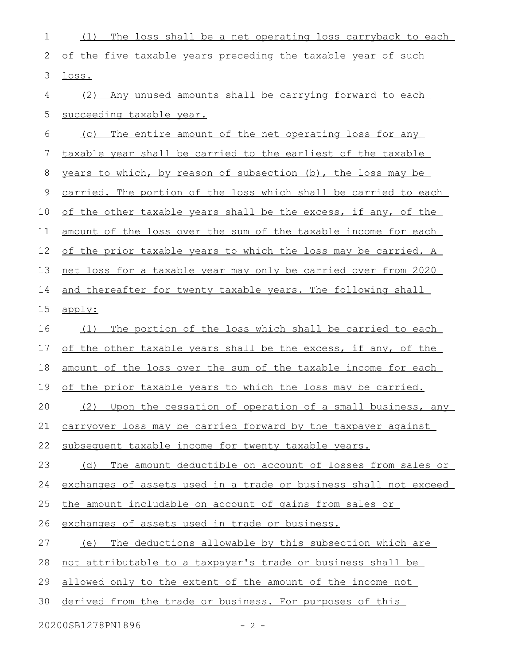(1) The loss shall be a net operating loss carryback to each of the five taxable years preceding the taxable year of such loss. (2) Any unused amounts shall be carrying forward to each succeeding taxable year. (c) The entire amount of the net operating loss for any taxable year shall be carried to the earliest of the taxable years to which, by reason of subsection (b), the loss may be carried. The portion of the loss which shall be carried to each of the other taxable years shall be the excess, if any, of the amount of the loss over the sum of the taxable income for each of the prior taxable years to which the loss may be carried. A net loss for a taxable year may only be carried over from 2020 and thereafter for twenty taxable years. The following shall apply: (1) The portion of the loss which shall be carried to each of the other taxable years shall be the excess, if any, of the amount of the loss over the sum of the taxable income for each of the prior taxable years to which the loss may be carried. (2) Upon the cessation of operation of a small business, any carryover loss may be carried forward by the taxpayer against subsequent taxable income for twenty taxable years. (d) The amount deductible on account of losses from sales or exchanges of assets used in a trade or business shall not exceed the amount includable on account of gains from sales or exchanges of assets used in trade or business. (e) The deductions allowable by this subsection which are not attributable to a taxpayer's trade or business shall be allowed only to the extent of the amount of the income not derived from the trade or business. For purposes of this 1 2 3 4 5 6 7 8 9 10 11 12 13 14 15 16 17 18 19 20 21 22 23 24 25 26 27 28 29 30

20200SB1278PN1896 - 2 -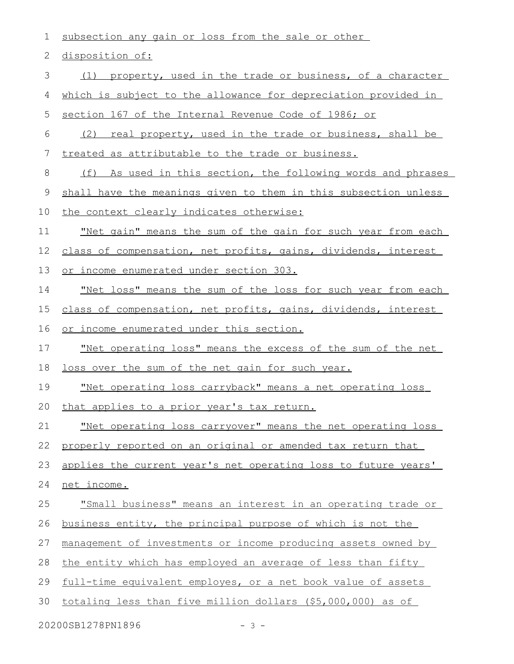subsection any gain or loss from the sale or other 1

 disposition of: 2

(1) property, used in the trade or business, of a character which is subject to the allowance for depreciation provided in section 167 of the Internal Revenue Code of 1986; or (2) real property, used in the trade or business, shall be treated as attributable to the trade or business. (f) As used in this section, the following words and phrases shall have the meanings given to them in this subsection unless the context clearly indicates otherwise: "Net gain" means the sum of the gain for such year from each class of compensation, net profits, gains, dividends, interest or income enumerated under section 303. " Net loss" means the sum of the loss for such year from each class of compensation, net profits, gains, dividends, interest or income enumerated under this section. " Net operating loss" means the excess of the sum of the net loss over the sum of the net gain for such year. " Net operating loss carryback" means a net operating loss that applies to a prior year's tax return. " Net operating loss carryover" means the net operating loss properly reported on an original or amended tax return that applies the current year's net operating loss to future years' net income. "Small business" means an interest in an operating trade or business entity, the principal purpose of which is not the management of investments or income producing assets owned by the entity which has employed an average of less than fifty full-time equivalent employes, or a net book value of assets totaling less than five million dollars (\$5,000,000) as of 3 4 5 6 7 8 9 10 11 12 13 14 15 16 17 18 19 20 21 22 23 24 25 26 27 28 29 30

20200SB1278PN1896 - 3 -